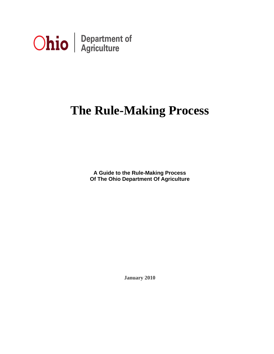

# **The Rule-Making Process**

**A Guide to the Rule-Making Process Of The Ohio Department Of Agriculture** 

**January 2010**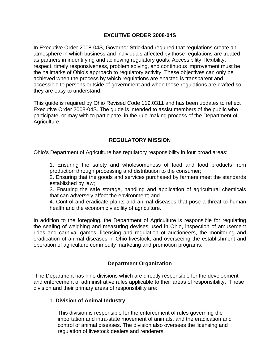## **EXCUTIVE ORDER 2008-04S**

In Executive Order 2008-04S, Governor Strickland required that regulations create an atmosphere in which business and individuals affected by those regulations are treated as partners in indentifying and achieving regulatory goals. Accessibility, flexibility, respect, timely responsiveness, problem solving, and continuous improvement must be the hallmarks of Ohio's approach to regulatory activity. These objectives can only be achieved when the process by which regulations are enacted is transparent and accessible to persons outside of government and when those regulations are crafted so they are easy to understand.

This guide is required by Ohio Revised Code 119.0311 and has been updates to reflect Executive Order 2008-04S. The guide is intended to assist members of the public who participate, or may with to participate, in the rule-making process of the Department of Agriculture.

## **REGULATORY MISSION**

Ohio's Department of Agriculture has regulatory responsibility in four broad areas:

 1. Ensuring the safety and wholesomeness of food and food products from production through processing and distribution to the consumer;

 2. Ensuring that the goods and services purchased by farmers meet the standards established by law;

 3. Ensuring the safe storage, handling and application of agricultural chemicals that can adversely affect the environment; and

 4. Control and eradicate plants and animal diseases that pose a threat to human health and the economic viability of agriculture.

In addition to the foregoing, the Department of Agriculture is responsible for regulating the sealing of weighing and measuring devises used in Ohio, inspection of amusement rides and carnival games, licensing and regulation of auctioneers, the monitoring and eradication of animal diseases in Ohio livestock, and overseeing the establishment and operation of agriculture commodity marketing and promotion programs.

## **Department Organization**

The Department has nine divisions which are directly responsible for the development and enforcement of administrative rules applicable to their areas of responsibility. These division and their primary areas of responsibility are:

## 1. **Division of Animal Industry**

This division is responsible for the enforcement of rules governing the importation and intra-state movement of animals, and the eradication and control of animal diseases. The division also oversees the licensing and regulation of livestock dealers and renderers.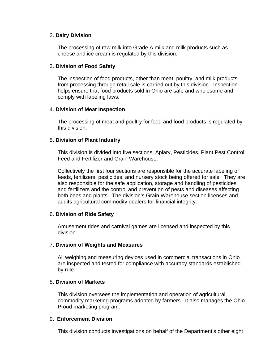#### 2. **Dairy Division**

The processing of raw milk into Grade A milk and milk products such as cheese and ice cream is regulated by this division.

#### 3. **Division of Food Safety**

The inspection of food products, other than meat, poultry, and milk products, from processing through retail sale is carried out by this division. Inspection helps ensure that food products sold in Ohio are safe and wholesome and comply with labeling laws.

#### 4. **Division of Meat Inspection**

The processing of meat and poultry for food and food products is regulated by this division.

#### 5. **Division of Plant Industry**

This division is divided into five sections; Apiary, Pesticides, Plant Pest Control, Feed and Fertilizer and Grain Warehouse.

Collectively the first four sections are responsible for the accurate labeling of feeds, fertilizers, pesticides, and nursery stock being offered for sale. They are also responsible for the safe application, storage and handling of pesticides and fertilizers and the control and prevention of pests and diseases affecting both bees and plants. The division's Grain Warehouse section licenses and audits agricultural commodity dealers for financial integrity.

## 6. **Division of Ride Safety**

Amusement rides and carnival games are licensed and inspected by this division.

#### 7. **Division of Weights and Measures**

All weighing and measuring devices used in commercial transactions in Ohio are inspected and tested for compliance with accuracy standards established by rule.

#### 8. **Division of Markets**

This division oversees the implementation and operation of agricultural commodity marketing programs adopted by farmers. It also manages the Ohio Proud marketing program.

#### 9. **Enforcement Division**

This division conducts investigations on behalf of the Department's other eight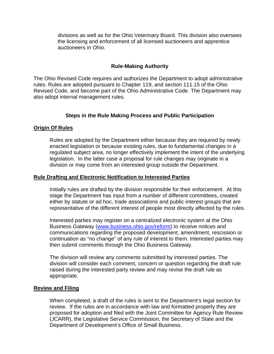divisions as well as for the Ohio Veterinary Board. This division also oversees the licensing and enforcement of all licensed auctioneers and apprentice auctioneers in Ohio.

## **Rule-Making Authority**

The Ohio Revised Code requires and authorizes the Department to adopt administrative rules. Rules are adopted pursuant to Chapter 119, and section 111.15 of the Ohio Revised Code, and become part of the Ohio Administrative Code. The Department may also adopt internal management rules.

# **Steps in the Rule Making Process and Public Participation**

#### **Origin Of Rules**

Rules are adopted by the Department either because they are required by newly enacted legislation or because existing rules, due to fundamental changes in a regulated subject area, no longer effectively implement the intent of the underlying legislation. In the latter case a proposal for rule changes may originate in a division or may come from an interested group outside the Department.

#### **Rule Drafting and Electronic Notification to Interested Parties**

Initially rules are drafted by the division responsible for their enforcement. At this stage the Department has input from a number of different committees, created either by statute or ad hoc, trade associations and public interest groups that are representative of the different interest of people most directly affected by the rules.

Interested parties may register on a centralized electronic system at the Ohio Business Gateway ([www.business.ohio.gov/reform](http://www.business.ohio.gov/reform)) to receive notices and communications regarding the proposed development, amendment, rescission or continuation as "no change" of any rule of interest to them. Interested parties may then submit comments through the Ohio Business Gateway.

The division will review any comments submitted by interested parties. The division will consider each comment, concern or question regarding the draft rule raised during the interested party review and may revise the draft rule as appropriate.

#### **Review and Filing**

When completed, a draft of the rules is sent to the Department's legal section for review. If the rules are in accordance with law and formatted properly they are proposed for adoption and filed with the Joint Committee for Agency Rule Review (JCARR), the Legislative Service Commission, the Secretary of State and the Department of Development's Office of Small Business.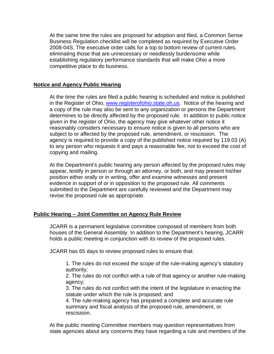At the same time the rules are proposed for adoption and filed, a Common Sense Business Regulation checklist will be completed as required by Executive Order 2008-04S. The executive order calls for a top to bottom review of current rules, eliminating those that are unnecessary or needlessly burdensome while establishing regulatory performance standards that will make Ohio a more competitive place to do business.

## **Notice and Agency Public Hearing**

At the time the rules are filed a public hearing is scheduled and notice is published in the Register of Ohio, [www.registerofohio.state.oh.us](http://www.registerofohio.state.oh.us/). Notice of the hearing and a copy of the rule may also be sent to any organization or persons the Department determines to be directly affected by the proposed rule. In addition to public notice given in the register of Ohio, the agency may give whatever other notice it reasonably considers necessary to ensure notice is given to all persons who are subject to or affected by the proposed rule, amendment, or rescission. The agency is required to provide a copy of the published notice required by 119.03 (A) to any person who requests it and pays a reasonable fee, not to exceed the cost of copying and mailing.

At the Department's public hearing any person affected by the proposed rules may appear, testify in person or through an attorney, or both, and may present his\her position either orally or in writing, offer and examine witnesses and present evidence in support of or in opposition to the proposed rule. All comments submitted to the Department are carefully reviewed and the Department may revise the proposed rule as appropriate.

# **Public Hearing – Joint Committee on Agency Rule Review**

JCARR is a permanent legislative committee composed of members from both houses of the General Assembly. In addition to the Department's hearing, JCARR holds a public meeting in conjunction with its review of the proposed rules.

JCARR has 65 days to review proposed rules to ensure that:

 1. The rules do not exceed the scope of the rule-making agency's statutory authority;

 2. The rules do not conflict with a rule of that agency or another rule-making agency;

 3. The rules do not conflict with the intent of the legislature in enacting the statute under which the rule is proposed; and

 4. The rule-making agency has prepared a complete and accurate rule summary and fiscal analysis of the proposed rule, amendment, or rescission.

At the public meeting Committee members may question representatives from state agencies about any concerns they have regarding a rule and members of the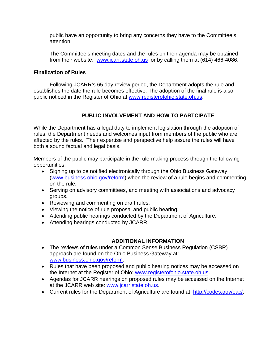public have an opportunity to bring any concerns they have to the Committee's attention.

The Committee's meeting dates and the rules on their agenda may be obtained from their website: [www.jcarr.state.oh.us](http://www.jcarr.state.oh.us/) or by calling them at (614) 466-4086.

## **Finalization of Rules**

 Following JCARR's 65 day review period, the Department adopts the rule and establishes the date the rule becomes effective. The adoption of the final rule is also public noticed in the Register of Ohio at [www.registerofohio.state.oh.us.](http://www.registerofohio.state.oh.us/)

# **PUBLIC INVOLVEMENT AND HOW TO PARTCIPATE**

While the Department has a legal duty to implement legislation through the adoption of rules, the Department needs and welcomes input from members of the public who are affected by the rules. Their expertise and perspective help assure the rules will have both a sound factual and legal basis.

Members of the public may participate in the rule-making process through the following opportunities:

- Signing up to be notified electronically through the Ohio Business Gateway ([www.business.ohio.gov/reform](http://www.business.ohio.gov/reform)) when the review of a rule begins and commenting on the rule.
- Serving on advisory committees, and meeting with associations and advocacy groups.
- Reviewing and commenting on draft rules.
- Viewing the notice of rule proposal and public hearing.
- Attending public hearings conducted by the Department of Agriculture.
- Attending hearings conducted by JCARR.

# **ADDITIONAL INFORMATION**

- The reviews of rules under a Common Sense Business Regulation (CSBR) approach are found on the Ohio Business Gateway at: [www.business.ohio.gov/reform](http://www.business.ohio.gov/reform).
- Rules that have been proposed and public hearing notices may be accessed on the Internet at the Register of Ohio: [www.registerofohio.state.oh.us.](http://www.registerofohio.state.oh.us/)
- Agendas for JCARR hearings on proposed rules may be accessed on the Internet at the JCARR web site: [www.jcarr.state.oh.us](http://www.jcarr.state.oh.us/).
- Current rules for the Department of Agriculture are found at: <http://codes.gov/oac/>.